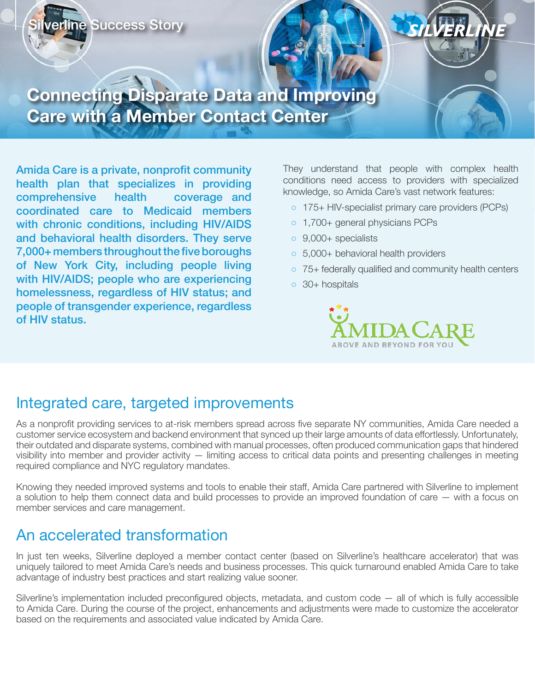

## **Connecting Disparate Data and Improving Care with a Member Contact Center**

Amida Care is a private, nonprofit community health plan that specializes in providing comprehensive health coverage and coordinated care to Medicaid members with chronic conditions, including HIV/AIDS and behavioral health disorders. They serve 7,000+ members throughout the five boroughs of New York City, including people living with HIV/AIDS; people who are experiencing homelessness, regardless of HIV status; and people of transgender experience, regardless of HIV status.

They understand that people with complex health conditions need access to providers with specialized knowledge, so Amida Care's vast network features:

SILVERI

- 175+ HIV-specialist primary care providers (PCPs)
- 1,700+ general physicians PCPs
- 9,000+ specialists
- 5,000+ behavioral health providers
- 75+ federally qualified and community health centers
- 30+ hospitals



## Integrated care, targeted improvements

As a nonprofit providing services to at-risk members spread across five separate NY communities, Amida Care needed a customer service ecosystem and backend environment that synced up their large amounts of data effortlessly. Unfortunately, their outdated and disparate systems, combined with manual processes, often produced communication gaps that hindered visibility into member and provider activity — limiting access to critical data points and presenting challenges in meeting required compliance and NYC regulatory mandates.

Knowing they needed improved systems and tools to enable their staff, Amida Care partnered with Silverline to implement a solution to help them connect data and build processes to provide an improved foundation of care — with a focus on member services and care management.

## An accelerated transformation

In just ten weeks, Silverline deployed a member contact center (based on Silverline's healthcare accelerator) that was uniquely tailored to meet Amida Care's needs and business processes. This quick turnaround enabled Amida Care to take advantage of industry best practices and start realizing value sooner.

Silverline's implementation included preconfigured objects, metadata, and custom code — all of which is fully accessible to Amida Care. During the course of the project, enhancements and adjustments were made to customize the accelerator based on the requirements and associated value indicated by Amida Care.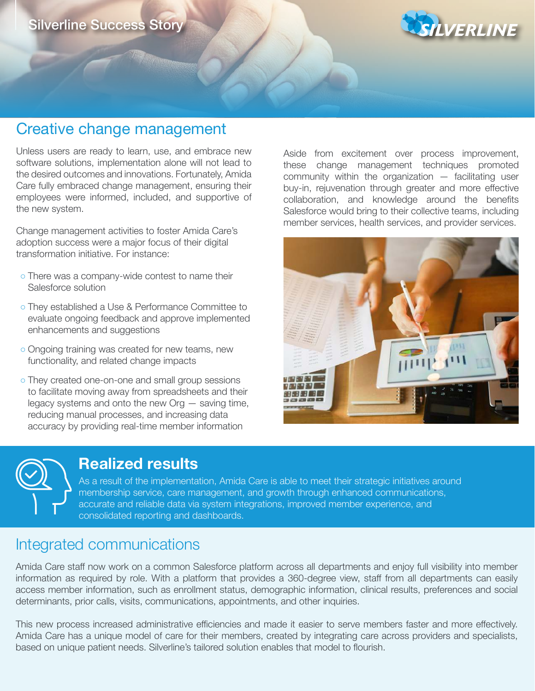

## Creative change management

Unless users are ready to learn, use, and embrace new software solutions, implementation alone will not lead to the desired outcomes and innovations. Fortunately, Amida Care fully embraced change management, ensuring their employees were informed, included, and supportive of the new system.

Change management activities to foster Amida Care's adoption success were a major focus of their digital transformation initiative. For instance:

- o There was a company-wide contest to name their Salesforce solution
- They established a Use & Performance Committee to evaluate ongoing feedback and approve implemented enhancements and suggestions
- Ongoing training was created for new teams, new functionality, and related change impacts
- They created one-on-one and small group sessions to facilitate moving away from spreadsheets and their legacy systems and onto the new Org — saving time, reducing manual processes, and increasing data accuracy by providing real-time member information

Aside from excitement over process improvement, these change management techniques promoted community within the organization  $-$  facilitating user buy-in, rejuvenation through greater and more effective collaboration, and knowledge around the benefits Salesforce would bring to their collective teams, including member services, health services, and provider services.





## **Realized results**

As a result of the implementation, Amida Care is able to meet their strategic initiatives around membership service, care management, and growth through enhanced communications, accurate and reliable data via system integrations, improved member experience, and consolidated reporting and dashboards.

## Integrated communications

Amida Care staff now work on a common Salesforce platform across all departments and enjoy full visibility into member information as required by role. With a platform that provides a 360-degree view, staff from all departments can easily access member information, such as enrollment status, demographic information, clinical results, preferences and social determinants, prior calls, visits, communications, appointments, and other inquiries.

This new process increased administrative efficiencies and made it easier to serve members faster and more effectively. Amida Care has a unique model of care for their members, created by integrating care across providers and specialists, based on unique patient needs. Silverline's tailored solution enables that model to flourish.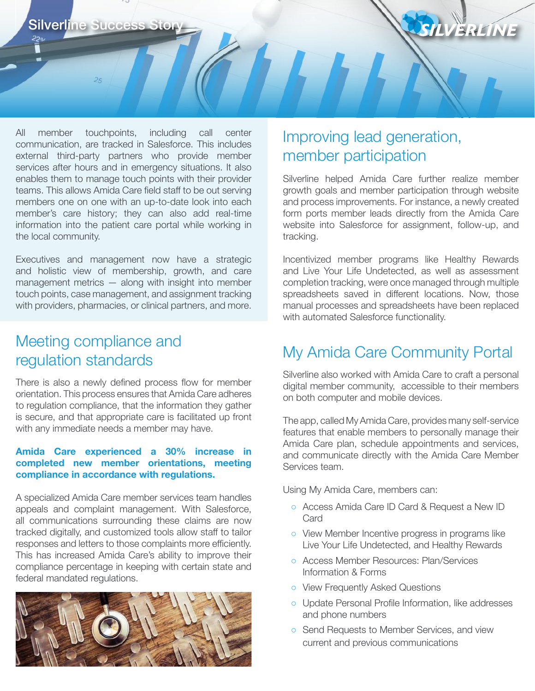220, ī

All member touchpoints, including call center communication, are tracked in Salesforce. This includes external third-party partners who provide member services after hours and in emergency situations. It also enables them to manage touch points with their provider teams. This allows Amida Care field staff to be out serving members one on one with an up-to-date look into each member's care history; they can also add real-time information into the patient care portal while working in the local community.

Executives and management now have a strategic and holistic view of membership, growth, and care management metrics — along with insight into member touch points, case management, and assignment tracking with providers, pharmacies, or clinical partners, and more.

## Meeting compliance and regulation standards

There is also a newly defined process flow for member orientation. This process ensures that Amida Care adheres to regulation compliance, that the information they gather is secure, and that appropriate care is facilitated up front with any immediate needs a member may have.

#### **Amida Care experienced a 30% increase in completed new member orientations, meeting compliance in accordance with regulations.**

A specialized Amida Care member services team handles appeals and complaint management. With Salesforce, all communications surrounding these claims are now tracked digitally, and customized tools allow staff to tailor responses and letters to those complaints more efficiently. This has increased Amida Care's ability to improve their compliance percentage in keeping with certain state and federal mandated regulations.



## Improving lead generation, member participation

Silverline helped Amida Care further realize member growth goals and member participation through website and process improvements. For instance, a newly created form ports member leads directly from the Amida Care website into Salesforce for assignment, follow-up, and tracking.

SILVERLINE

Incentivized member programs like Healthy Rewards and Live Your Life Undetected, as well as assessment completion tracking, were once managed through multiple spreadsheets saved in different locations. Now, those manual processes and spreadsheets have been replaced with automated Salesforce functionality.

## My Amida Care Community Portal

Silverline also worked with Amida Care to craft a personal digital member community, accessible to their members on both computer and mobile devices.

The app, called My Amida Care, provides many self-service features that enable members to personally manage their Amida Care plan, schedule appointments and services, and communicate directly with the Amida Care Member Services team.

Using My Amida Care, members can:

- Access Amida Care ID Card & Request a New ID **Card**
- View Member Incentive progress in programs like Live Your Life Undetected, and Healthy Rewards
- Access Member Resources: Plan/Services Information & Forms
- View Frequently Asked Questions
- Update Personal Profile Information, like addresses and phone numbers
- Send Requests to Member Services, and view current and previous communications